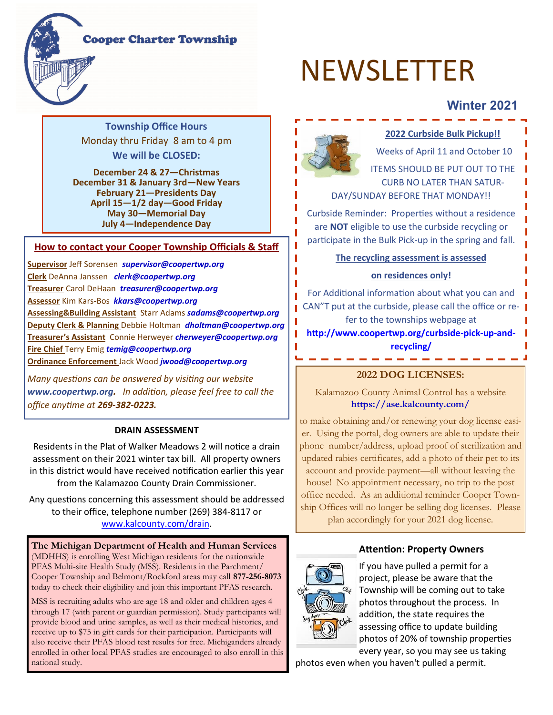### **Cooper Charter Township**



# **Winter 2021**

**Township Office Hours**  Monday thru Friday 8 am to 4 pm **We will be CLOSED:**

**December 24 & 27—Christmas December 31 & January 3rd—New Years February 21—Presidents Day April 15—1/2 day—Good Friday May 30—Memorial Day July 4—Independence Day**

#### **How to contact your Cooper Township Officials & Staff**

**Supervisor** Jeff Sorensen *supervisor@coopertwp.org*  **Clerk** DeAnna Janssen *clerk@coopertwp.org* **Treasurer** Carol DeHaan *treasurer@coopertwp.org*  **Assessor** Kim Kars-Bos *kkars@coopertwp.org*  **Assessing&Building Assistant** Starr Adams *sadams@coopertwp.org*  **Deputy Clerk & Planning** Debbie Holtman *dholtman@coopertwp.org*  **Treasurer's Assistant** Connie Herweyer *cherweyer@coopertwp.org*  **Fire Chief** Terry Emig *temig@coopertwp.org*  **Ordinance Enforcement** Jack Wood *jwood@coopertwp.org* 

*Many questions can be answered by visiting our website www.coopertwp.org. In addition, please feel free to call the office anytime at 269-382-0223.*

#### **DRAIN ASSESSMENT**

Residents in the Plat of Walker Meadows 2 will notice a drain assessment on their 2021 winter tax bill. All property owners in this district would have received notification earlier this year from the Kalamazoo County Drain Commissioner.

Any questions concerning this assessment should be addressed to their office, telephone number (269) 384-8117 or [www.kalcounty.com/drain.](http://www.kalcounty.com/drain)

**The Michigan Department of Health and Human Services**  (MDHHS) is enrolling West Michigan residents for the nationwide PFAS Multi-site Health Study (MSS). Residents in the Parchment/ Cooper Township and Belmont/Rockford areas may call **877-256-8073** today to check their eligibility and join this important PFAS research.

MSS is recruiting adults who are age 18 and older and children ages 4 through 17 (with parent or guardian permission). Study participants will provide blood and urine samples, as well as their medical histories, and receive up to \$75 in gift cards for their participation. Participants will also receive their PFAS blood test results for free. Michiganders already enrolled in other local PFAS studies are encouraged to also enroll in this national study.



I

### **2022 Curbside Bulk Pickup!!**

Weeks of April 11 and October 10 ITEMS SHOULD BE PUT OUT TO THE CURB NO LATER THAN SATUR-DAY/SUNDAY BEFORE THAT MONDAY!!

Curbside Reminder: Properties without a residence are **NOT** eligible to use the curbside recycling or participate in the Bulk Pick-up in the spring and fall.

**The recycling assessment is assessed** 

#### **on residences only!**

For Additional information about what you can and CAN"T put at the curbside, please call the office or refer to the townships webpage at

**http://www.coopertwp.org/curbside-pick-up-andrecycling/**

#### **2022 DOG LICENSES:**

Kalamazoo County Animal Control has a website **https://ase.kalcounty.com/** 

to make obtaining and/or renewing your dog license easier. Using the portal, dog owners are able to update their phone number/address, upload proof of sterilization and updated rabies certificates, add a photo of their pet to its account and provide payment—all without leaving the house! No appointment necessary, no trip to the post office needed. As an additional reminder Cooper Township Offices will no longer be selling dog licenses. Please plan accordingly for your 2021 dog license.

### **Attention: Property Owners**



If you have pulled a permit for a project, please be aware that the Township will be coming out to take photos throughout the process. In addition, the state requires the assessing office to update building photos of 20% of township properties every year, so you may see us taking

photos even when you haven't pulled a permit.